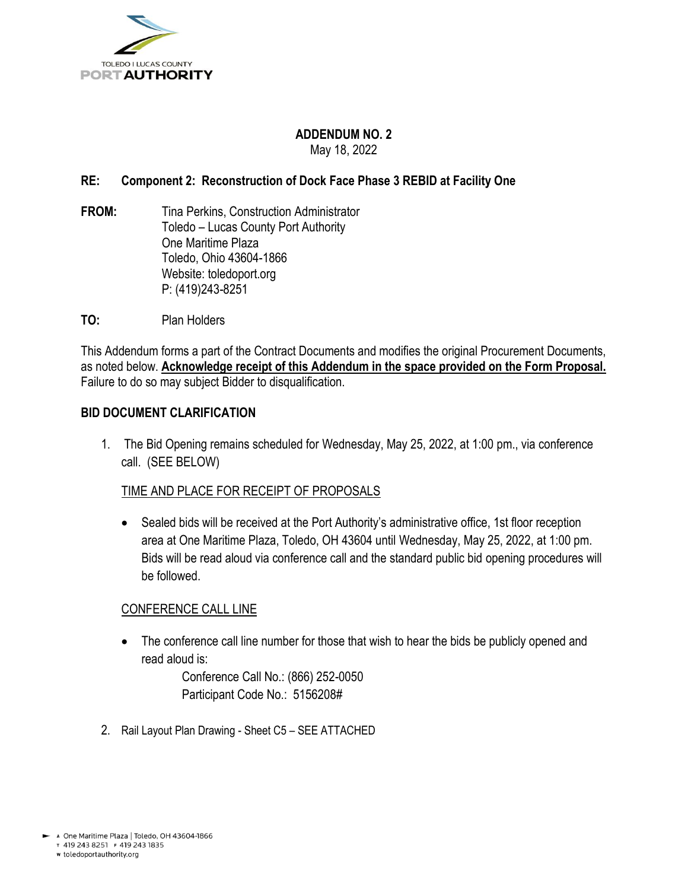

### **ADDENDUM NO. 2** May 18, 2022

# **RE: Component 2: Reconstruction of Dock Face Phase 3 REBID at Facility One**

- **FROM:** Tina Perkins, Construction Administrator Toledo – Lucas County Port Authority One Maritime Plaza Toledo, Ohio 43604-1866 Website: toledoport.org P: (419)243-8251
- **TO:** Plan Holders

This Addendum forms a part of the Contract Documents and modifies the original Procurement Documents, as noted below. **Acknowledge receipt of this Addendum in the space provided on the Form Proposal.**  Failure to do so may subject Bidder to disqualification.

## **BID DOCUMENT CLARIFICATION**

1. The Bid Opening remains scheduled for Wednesday, May 25, 2022, at 1:00 pm., via conference call. (SEE BELOW)

# TIME AND PLACE FOR RECEIPT OF PROPOSALS

• Sealed bids will be received at the Port Authority's administrative office, 1st floor reception area at One Maritime Plaza, Toledo, OH 43604 until Wednesday, May 25, 2022, at 1:00 pm. Bids will be read aloud via conference call and the standard public bid opening procedures will be followed.

### CONFERENCE CALL LINE

• The conference call line number for those that wish to hear the bids be publicly opened and read aloud is:

> Conference Call No.: (866) 252-0050 Participant Code No.: 5156208#

2. Rail Layout Plan Drawing - Sheet C5 – SEE ATTACHED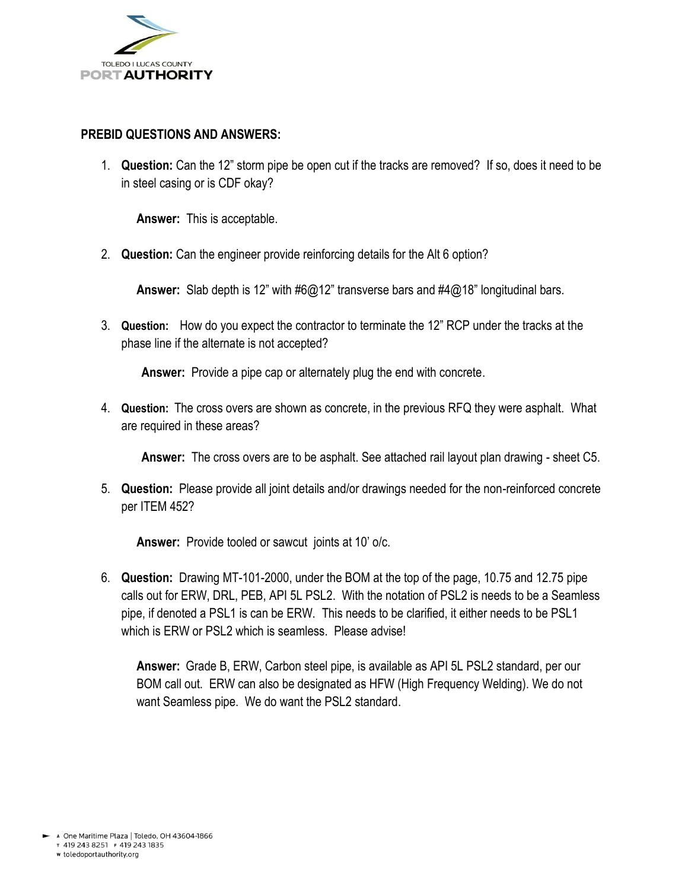

# **PREBID QUESTIONS AND ANSWERS:**

1. **Question:** Can the 12" storm pipe be open cut if the tracks are removed? If so, does it need to be in steel casing or is CDF okay?

**Answer:** This is acceptable.

2. **Question:** Can the engineer provide reinforcing details for the Alt 6 option?

**Answer:** Slab depth is 12" with #6@12" transverse bars and #4@18" longitudinal bars.

3. **Question:** How do you expect the contractor to terminate the 12" RCP under the tracks at the phase line if the alternate is not accepted?

**Answer:** Provide a pipe cap or alternately plug the end with concrete.

4. **Question:** The cross overs are shown as concrete, in the previous RFQ they were asphalt. What are required in these areas?

**Answer:** The cross overs are to be asphalt. See attached rail layout plan drawing - sheet C5.

5. **Question:** Please provide all joint details and/or drawings needed for the non-reinforced concrete per ITEM 452?

**Answer:** Provide tooled or sawcutjoints at 10' o/c.

6. **Question:** Drawing MT-101-2000, under the BOM at the top of the page, 10.75 and 12.75 pipe calls out for ERW, DRL, PEB, API 5L PSL2. With the notation of PSL2 is needs to be a Seamless pipe, if denoted a PSL1 is can be ERW. This needs to be clarified, it either needs to be PSL1 which is ERW or PSL2 which is seamless. Please advise!

**Answer:** Grade B, ERW, Carbon steel pipe, is available as API 5L PSL2 standard, per our BOM call out. ERW can also be designated as HFW (High Frequency Welding). We do not want Seamless pipe. We do want the PSL2 standard.

T 419 243 8251 F 419 243 1835 w toledoportauthority.org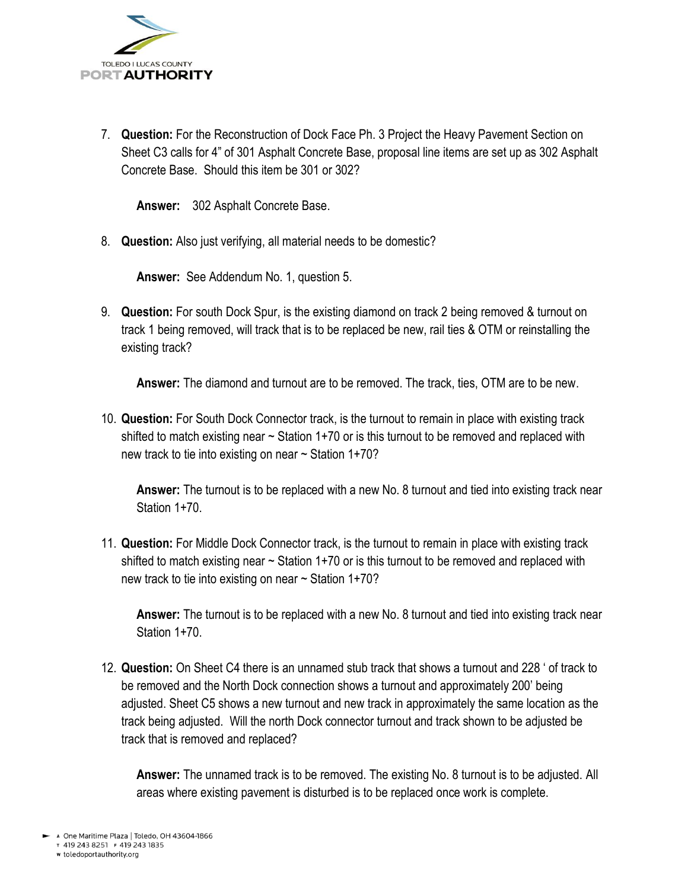

7. **Question:** For the Reconstruction of Dock Face Ph. 3 Project the Heavy Pavement Section on Sheet C3 calls for 4" of 301 Asphalt Concrete Base, proposal line items are set up as 302 Asphalt Concrete Base. Should this item be 301 or 302?

**Answer:** 302 Asphalt Concrete Base.

8. **Question:** Also just verifying, all material needs to be domestic?

**Answer:** See Addendum No. 1, question 5.

9. **Question:** For south Dock Spur, is the existing diamond on track 2 being removed & turnout on track 1 being removed, will track that is to be replaced be new, rail ties & OTM or reinstalling the existing track?

**Answer:** The diamond and turnout are to be removed. The track, ties, OTM are to be new.

10. **Question:** For South Dock Connector track, is the turnout to remain in place with existing track shifted to match existing near  $\sim$  Station 1+70 or is this turnout to be removed and replaced with new track to tie into existing on near  $\sim$  Station 1+70?

**Answer:** The turnout is to be replaced with a new No. 8 turnout and tied into existing track near Station 1+70.

11. **Question:** For Middle Dock Connector track, is the turnout to remain in place with existing track shifted to match existing near  $\sim$  Station 1+70 or is this turnout to be removed and replaced with new track to tie into existing on near  $\sim$  Station 1+70?

**Answer:** The turnout is to be replaced with a new No. 8 turnout and tied into existing track near Station 1+70.

12. **Question:** On Sheet C4 there is an unnamed stub track that shows a turnout and 228 ' of track to be removed and the North Dock connection shows a turnout and approximately 200' being adjusted. Sheet C5 shows a new turnout and new track in approximately the same location as the track being adjusted. Will the north Dock connector turnout and track shown to be adjusted be track that is removed and replaced?

**Answer:** The unnamed track is to be removed. The existing No. 8 turnout is to be adjusted. All areas where existing pavement is disturbed is to be replaced once work is complete.

w toledoportauthority.org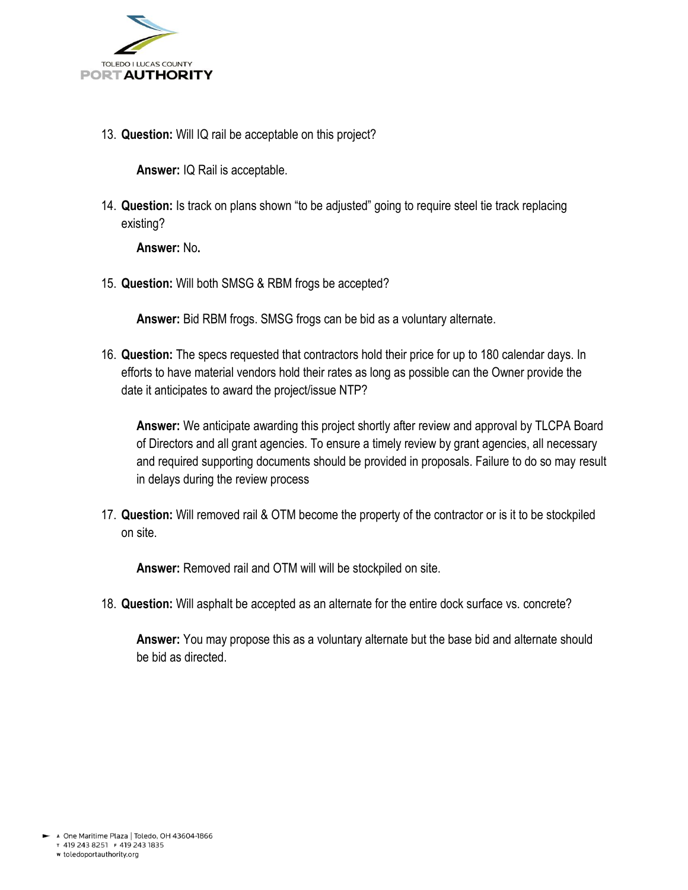

13. **Question:** Will IQ rail be acceptable on this project?

**Answer:** IQ Rail is acceptable.

14. **Question:** Is track on plans shown "to be adjusted" going to require steel tie track replacing existing?

**Answer:** No**.**

15. **Question:** Will both SMSG & RBM frogs be accepted?

**Answer:** Bid RBM frogs. SMSG frogs can be bid as a voluntary alternate.

16. **Question:** The specs requested that contractors hold their price for up to 180 calendar days. In efforts to have material vendors hold their rates as long as possible can the Owner provide the date it anticipates to award the project/issue NTP?

**Answer:** We anticipate awarding this project shortly after review and approval by TLCPA Board of Directors and all grant agencies. To ensure a timely review by grant agencies, all necessary and required supporting documents should be provided in proposals. Failure to do so may result in delays during the review process

17. **Question:** Will removed rail & OTM become the property of the contractor or is it to be stockpiled on site.

**Answer:** Removed rail and OTM will will be stockpiled on site.

18. **Question:** Will asphalt be accepted as an alternate for the entire dock surface vs. concrete?

**Answer:** You may propose this as a voluntary alternate but the base bid and alternate should be bid as directed.